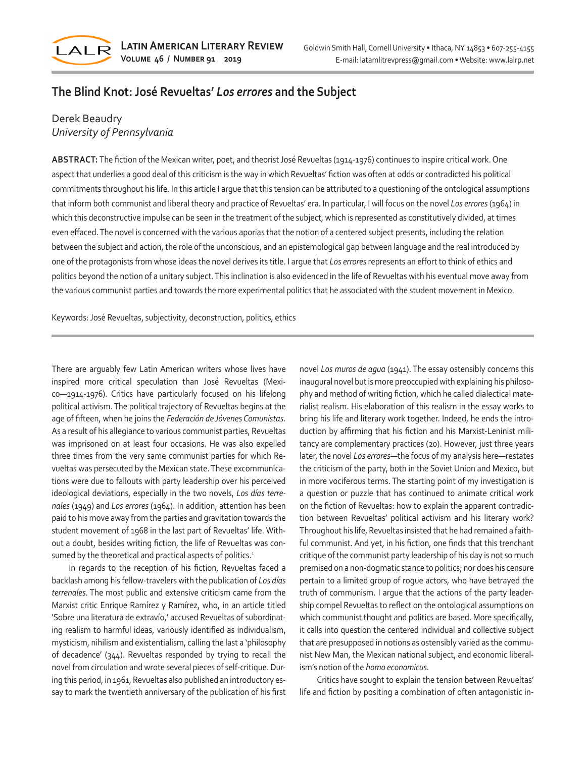

## **The Blind Knot: José Revueltas'** *Los errores* **and the Subject**

## Derek Beaudry *University of Pennsylvania*

**ABSTRACT:** The fiction of the Mexican writer, poet, and theorist José Revueltas (1914-1976) continues to inspire critical work. One aspect that underlies a good deal of this criticism is the way in which Revueltas' fiction was often at odds or contradicted his political commitments throughout his life. In this article I argue that this tension can be attributed to a questioning of the ontological assumptions that inform both communist and liberal theory and practice of Revueltas' era. In particular, I will focus on the novel *Los errores* (1964) in which this deconstructive impulse can be seen in the treatment of the subject, which is represented as constitutively divided, at times even effaced. The novel is concerned with the various aporias that the notion of a centered subject presents, including the relation between the subject and action, the role of the unconscious, and an epistemological gap between language and the real introduced by one of the protagonists from whose ideas the novel derives its title. I argue that *Los errores* represents an effort to think of ethics and politics beyond the notion of a unitary subject. This inclination is also evidenced in the life of Revueltas with his eventual move away from the various communist parties and towards the more experimental politics that he associated with the student movement in Mexico.

Keywords: José Revueltas, subjectivity, deconstruction, politics, ethics

There are arguably few Latin American writers whose lives have inspired more critical speculation than José Revueltas (Mexico—1914-1976). Critics have particularly focused on his lifelong political activism. The political trajectory of Revueltas begins at the age of fifteen, when he joins the *Federación de Jóvenes Comunistas.* As a result of his allegiance to various communist parties, Revueltas was imprisoned on at least four occasions. He was also expelled three times from the very same communist parties for which Revueltas was persecuted by the Mexican state. These excommunications were due to fallouts with party leadership over his perceived ideological deviations, especially in the two novels, *Los días terrenales* (1949) and *Los errores* (1964). In addition, attention has been paid to his move away from the parties and gravitation towards the student movement of 1968 in the last part of Revueltas' life. Without a doubt, besides writing fiction, the life of Revueltas was consumed by the theoretical and practical aspects of politics.<sup>1</sup>

In regards to the reception of his fiction, Revueltas faced a backlash among his fellow-travelers with the publication of *Los días terrenales*. The most public and extensive criticism came from the Marxist critic Enrique Ramírez y Ramírez, who, in an article titled 'Sobre una literatura de extravío,' accused Revueltas of subordinating realism to harmful ideas, variously identified as individualism, mysticism, nihilism and existentialism, calling the last a 'philosophy of decadence' (344). Revueltas responded by trying to recall the novel from circulation and wrote several pieces of self-critique. During this period, in 1961, Revueltas also published an introductory essay to mark the twentieth anniversary of the publication of his first novel *Los muros de agua* (1941). The essay ostensibly concerns this inaugural novel but is more preoccupied with explaining his philosophy and method of writing fiction, which he called dialectical materialist realism. His elaboration of this realism in the essay works to bring his life and literary work together. Indeed, he ends the introduction by affirming that his fiction and his Marxist-Leninist militancy are complementary practices (20). However, just three years later, the novel *Los errores*—the focus of my analysis here—restates the criticism of the party, both in the Soviet Union and Mexico, but in more vociferous terms. The starting point of my investigation is a question or puzzle that has continued to animate critical work on the fiction of Revueltas: how to explain the apparent contradiction between Revueltas' political activism and his literary work? Throughout his life, Revueltas insisted that he had remained a faithful communist. And yet, in his fiction, one finds that this trenchant critique of the communist party leadership of his day is not so much premised on a non-dogmatic stance to politics; nor does his censure pertain to a limited group of rogue actors, who have betrayed the truth of communism. I argue that the actions of the party leadership compel Revueltas to reflect on the ontological assumptions on which communist thought and politics are based. More specifically, it calls into question the centered individual and collective subject that are presupposed in notions as ostensibly varied as the communist New Man, the Mexican national subject, and economic liberalism's notion of the *homo economicus.*

Critics have sought to explain the tension between Revueltas' life and fiction by positing a combination of often antagonistic in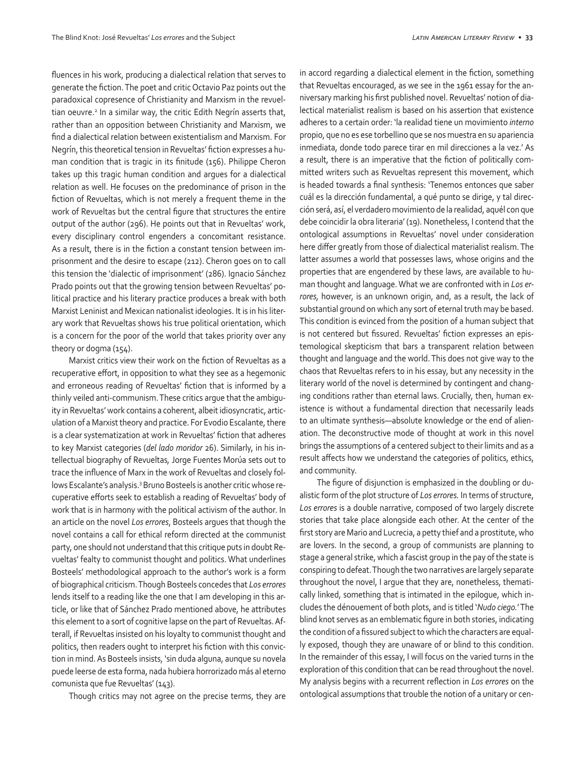fluences in his work, producing a dialectical relation that serves to generate the fiction. The poet and critic Octavio Paz points out the paradoxical copresence of Christianity and Marxism in the revueltian oeuvre.<sup>2</sup> In a similar way, the critic Edith Negrín asserts that, rather than an opposition between Christianity and Marxism, we find a dialectical relation between existentialism and Marxism. For Negrín, this theoretical tension in Revueltas' fiction expresses a human condition that is tragic in its finitude (156). Philippe Cheron takes up this tragic human condition and argues for a dialectical relation as well. He focuses on the predominance of prison in the fiction of Revueltas, which is not merely a frequent theme in the work of Revueltas but the central figure that structures the entire output of the author (296). He points out that in Revueltas' work, every disciplinary control engenders a concomitant resistance. As a result, there is in the fiction a constant tension between imprisonment and the desire to escape (212). Cheron goes on to call this tension the 'dialectic of imprisonment' (286). Ignacio Sánchez Prado points out that the growing tension between Revueltas' political practice and his literary practice produces a break with both Marxist Leninist and Mexican nationalist ideologies. It is in his literary work that Revueltas shows his true political orientation, which is a concern for the poor of the world that takes priority over any theory or dogma (154).

Marxist critics view their work on the fiction of Revueltas as a recuperative effort, in opposition to what they see as a hegemonic and erroneous reading of Revueltas' fiction that is informed by a thinly veiled anti-communism. These critics argue that the ambiguity in Revueltas' work contains a coherent, albeit idiosyncratic, articulation of a Marxist theory and practice. For Evodio Escalante, there is a clear systematization at work in Revueltas' fiction that adheres to key Marxist categories (*del lado moridor* 26). Similarly, in his intellectual biography of Revueltas*,* Jorge Fuentes Morúa sets out to trace the influence of Marx in the work of Revueltas and closely follows Escalante's analysis.<sup>3</sup> Bruno Bosteels is another critic whose recuperative efforts seek to establish a reading of Revueltas' body of work that is in harmony with the political activism of the author. In an article on the novel *Los errores*, Bosteels argues that though the novel contains a call for ethical reform directed at the communist party, one should not understand that this critique puts in doubt Revueltas' fealty to communist thought and politics. What underlines Bosteels' methodological approach to the author's work is a form of biographical criticism. Though Bosteels concedes that *Los errores* lends itself to a reading like the one that I am developing in this article, or like that of Sánchez Prado mentioned above, he attributes this element to a sort of cognitive lapse on the part of Revueltas. Afterall, if Revueltas insisted on his loyalty to communist thought and politics, then readers ought to interpret his fiction with this conviction in mind. As Bosteels insists, 'sin duda alguna, aunque su novela puede leerse de esta forma, nada hubiera horrorizado más al eterno comunista que fue Revueltas' (143).

Though critics may not agree on the precise terms, they are

in accord regarding a dialectical element in the fiction, something that Revueltas encouraged, as we see in the 1961 essay for the anniversary marking his first published novel. Revueltas' notion of dialectical materialist realism is based on his assertion that existence adheres to a certain order: 'la realidad tiene un movimiento *interno* propio, que no es ese torbellino que se nos muestra en su apariencia inmediata, donde todo parece tirar en mil direcciones a la vez.' As a result, there is an imperative that the fiction of politically committed writers such as Revueltas represent this movement, which is headed towards a final synthesis: 'Tenemos entonces que saber cuál es la dirección fundamental, a qué punto se dirige, y tal dirección será, así, el verdadero movimiento de la realidad, aquél con que debe coincidir la obra literaria' (19). Nonetheless, I contend that the ontological assumptions in Revueltas' novel under consideration here differ greatly from those of dialectical materialist realism. The latter assumes a world that possesses laws, whose origins and the properties that are engendered by these laws, are available to human thought and language. What we are confronted with in *Los errores,* however, is an unknown origin, and, as a result, the lack of substantial ground on which any sort of eternal truth may be based. This condition is evinced from the position of a human subject that is not centered but fissured. Revueltas' fiction expresses an epistemological skepticism that bars a transparent relation between thought and language and the world. This does not give way to the chaos that Revueltas refers to in his essay, but any necessity in the literary world of the novel is determined by contingent and changing conditions rather than eternal laws. Crucially, then, human existence is without a fundamental direction that necessarily leads to an ultimate synthesis—absolute knowledge or the end of alienation. The deconstructive mode of thought at work in this novel brings the assumptions of a centered subject to their limits and as a result affects how we understand the categories of politics, ethics, and community.

The figure of disjunction is emphasized in the doubling or dualistic form of the plot structure of *Los errores.* In terms of structure, *Los errores* is a double narrative, composed of two largely discrete stories that take place alongside each other. At the center of the first story are Mario and Lucrecia, a petty thief and a prostitute, who are lovers. In the second, a group of communists are planning to stage a general strike, which a fascist group in the pay of the state is conspiring to defeat. Though the two narratives are largely separate throughout the novel, I argue that they are, nonetheless, thematically linked, something that is intimated in the epilogue, which includes the dénouement of both plots, and is titled '*Nudo ciego.*' The blind knot serves as an emblematic figure in both stories, indicating the condition of a fissured subject to which the characters are equally exposed, though they are unaware of or blind to this condition. In the remainder of this essay, I will focus on the varied turns in the exploration of this condition that can be read throughout the novel. My analysis begins with a recurrent reflection in *Los errores* on the ontological assumptions that trouble the notion of a unitary or cen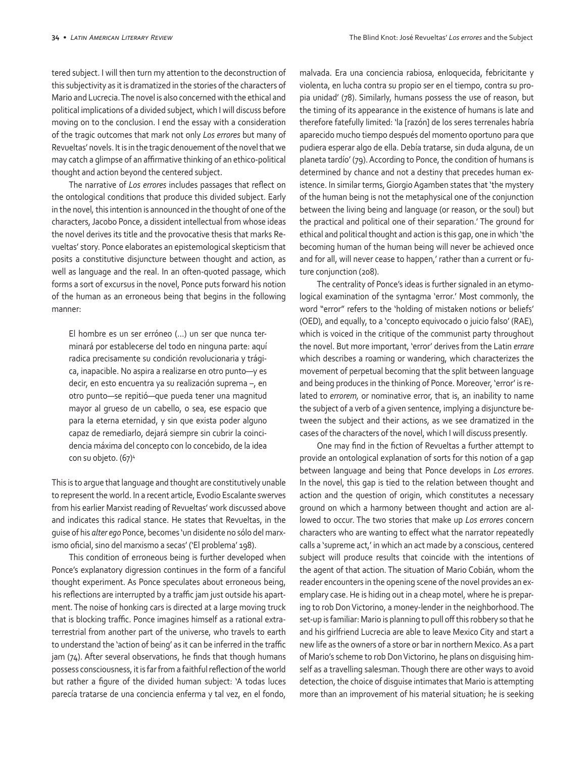tered subject. I will then turn my attention to the deconstruction of this subjectivity as it is dramatized in the stories of the characters of Mario and Lucrecia. The novel is also concerned with the ethical and political implications of a divided subject, which I will discuss before moving on to the conclusion. I end the essay with a consideration of the tragic outcomes that mark not only *Los errores* but many of Revueltas' novels. It is in the tragic denouement of the novel that we may catch a glimpse of an affirmative thinking of an ethico-political thought and action beyond the centered subject.

The narrative of *Los errores* includes passages that reflect on the ontological conditions that produce this divided subject. Early in the novel*,* this intention is announced in the thought of one of the characters, Jacobo Ponce, a dissident intellectual from whose ideas the novel derives its title and the provocative thesis that marks Revueltas' story. Ponce elaborates an epistemological skepticism that posits a constitutive disjuncture between thought and action, as well as language and the real. In an often-quoted passage, which forms a sort of excursus in the novel, Ponce puts forward his notion of the human as an erroneous being that begins in the following manner:

El hombre es un ser erróneo (…) un ser que nunca terminará por establecerse del todo en ninguna parte: aquí radica precisamente su condición revolucionaria y trágica, inapacible. No aspira a realizarse en otro punto—y es decir, en esto encuentra ya su realización suprema –, en otro punto—se repitió—que pueda tener una magnitud mayor al grueso de un cabello, o sea, ese espacio que para la eterna eternidad, y sin que exista poder alguno capaz de remediarlo, dejará siempre sin cubrir la coincidencia máxima del concepto con lo concebido, de la idea con su objeto. (67)4

This is to argue that language and thought are constitutively unable to represent the world. In a recent article, Evodio Escalante swerves from his earlier Marxist reading of Revueltas' work discussed above and indicates this radical stance. He states that Revueltas, in the guise of his *alter ego* Ponce, becomes 'un disidente no sólo del marxismo oficial, sino del marxismo a secas' ('El problema' 198).

This condition of erroneous being is further developed when Ponce's explanatory digression continues in the form of a fanciful thought experiment. As Ponce speculates about erroneous being, his reflections are interrupted by a traffic jam just outside his apartment. The noise of honking cars is directed at a large moving truck that is blocking traffic. Ponce imagines himself as a rational extraterrestrial from another part of the universe, who travels to earth to understand the 'action of being' as it can be inferred in the traffic jam (74). After several observations, he finds that though humans possess consciousness, it is far from a faithful reflection of the world but rather a figure of the divided human subject: 'A todas luces parecía tratarse de una conciencia enferma y tal vez, en el fondo,

malvada. Era una conciencia rabiosa, enloquecida, febricitante y violenta, en lucha contra su propio ser en el tiempo, contra su propia unidad' (78). Similarly, humans possess the use of reason, but the timing of its appearance in the existence of humans is late and therefore fatefully limited: 'la [razón] de los seres terrenales habría aparecido mucho tiempo después del momento oportuno para que pudiera esperar algo de ella. Debía tratarse, sin duda alguna, de un planeta tardío' (79). According to Ponce, the condition of humans is determined by chance and not a destiny that precedes human existence. In similar terms, Giorgio Agamben states that 'the mystery of the human being is not the metaphysical one of the conjunction between the living being and language (or reason, or the soul) but the practical and political one of their separation.' The ground for ethical and political thought and action is this gap, one in which 'the becoming human of the human being will never be achieved once and for all, will never cease to happen,' rather than a current or future conjunction (208).

The centrality of Ponce's ideas is further signaled in an etymological examination of the syntagma 'error.' Most commonly, the word "error" refers to the 'holding of mistaken notions or beliefs' (OED), and equally, to a 'concepto equivocado o juicio falso' (RAE), which is voiced in the critique of the communist party throughout the novel. But more important, 'error' derives from the Latin *errare* which describes a roaming or wandering, which characterizes the movement of perpetual becoming that the split between language and being produces in the thinking of Ponce. Moreover, 'error' is related to *errorem,* or nominative error, that is, an inability to name the subject of a verb of a given sentence, implying a disjuncture between the subject and their actions, as we see dramatized in the cases of the characters of the novel, which I will discuss presently.

One may find in the fiction of Revueltas a further attempt to provide an ontological explanation of sorts for this notion of a gap between language and being that Ponce develops in *Los errores*. In the novel, this gap is tied to the relation between thought and action and the question of origin, which constitutes a necessary ground on which a harmony between thought and action are allowed to occur. The two stories that make up *Los errores* concern characters who are wanting to effect what the narrator repeatedly calls a 'supreme act,' in which an act made by a conscious, centered subject will produce results that coincide with the intentions of the agent of that action. The situation of Mario Cobián, whom the reader encounters in the opening scene of the novel provides an exemplary case. He is hiding out in a cheap motel, where he is preparing to rob Don Victorino, a money-lender in the neighborhood. The set-up is familiar: Mario is planning to pull off this robbery so that he and his girlfriend Lucrecia are able to leave Mexico City and start a new life as the owners of a store or bar in northern Mexico. As a part of Mario's scheme to rob Don Victorino, he plans on disguising himself as a travelling salesman. Though there are other ways to avoid detection, the choice of disguise intimates that Mario is attempting more than an improvement of his material situation; he is seeking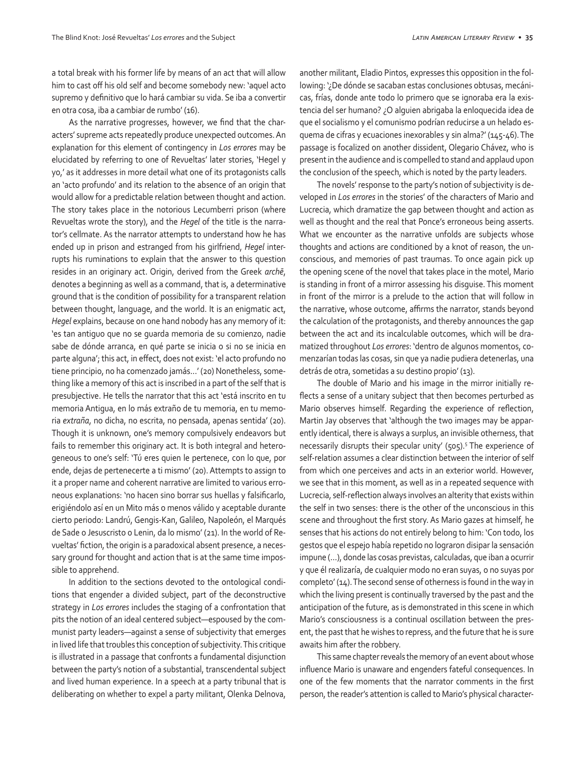a total break with his former life by means of an act that will allow him to cast off his old self and become somebody new: 'aquel acto supremo y definitivo que lo hará cambiar su vida. Se iba a convertir en otra cosa, iba a cambiar de rumbo' (16).

As the narrative progresses, however, we find that the characters' supreme acts repeatedly produce unexpected outcomes. An explanation for this element of contingency in *Los errores* may be elucidated by referring to one of Revueltas' later stories, 'Hegel y yo,' as it addresses in more detail what one of its protagonists calls an 'acto profundo' and its relation to the absence of an origin that would allow for a predictable relation between thought and action. The story takes place in the notorious Lecumberri prison (where Revueltas wrote the story), and the *Hegel* of the title is the narrator's cellmate. As the narrator attempts to understand how he has ended up in prison and estranged from his girlfriend, *Hegel* interrupts his ruminations to explain that the answer to this question resides in an originary act. Origin, derived from the Greek *archē*, denotes a beginning as well as a command, that is, a determinative ground that is the condition of possibility for a transparent relation between thought, language, and the world. It is an enigmatic act, *Hegel* explains, because on one hand nobody has any memory of it: 'es tan antiguo que no se guarda memoria de su comienzo, nadie sabe de dónde arranca, en qué parte se inicia o si no se inicia en parte alguna'; this act, in effect, does not exist: 'el acto profundo no tiene principio, no ha comenzado jamás…' (20) Nonetheless, something like a memory of this act is inscribed in a part of the self that is presubjective. He tells the narrator that this act 'está inscrito en tu memoria Antigua, en lo más extraño de tu memoria, en tu memoria *extraña*, no dicha, no escrita, no pensada, apenas sentida' (20). Though it is unknown, one's memory compulsively endeavors but fails to remember this originary act. It is both integral and heterogeneous to one's self: 'Tú eres quien le pertenece, con lo que, por ende, dejas de pertenecerte a ti mismo' (20). Attempts to assign to it a proper name and coherent narrative are limited to various erroneous explanations: 'no hacen sino borrar sus huellas y falsificarlo, erigiéndolo así en un Mito más o menos válido y aceptable durante cierto periodo: Landrú, Gengis-Kan, Galileo, Napoleón, el Marqués de Sade o Jesuscristo o Lenin, da lo mismo' (21). In the world of Revueltas' fiction, the origin is a paradoxical absent presence, a necessary ground for thought and action that is at the same time impossible to apprehend.

In addition to the sections devoted to the ontological conditions that engender a divided subject, part of the deconstructive strategy in *Los errores* includes the staging of a confrontation that pits the notion of an ideal centered subject—espoused by the communist party leaders—against a sense of subjectivity that emerges in lived life that troubles this conception of subjectivity. This critique is illustrated in a passage that confronts a fundamental disjunction between the party's notion of a substantial, transcendental subject and lived human experience. In a speech at a party tribunal that is deliberating on whether to expel a party militant, Olenka Delnova,

another militant, Eladio Pintos, expresses this opposition in the following: '¿De dónde se sacaban estas conclusiones obtusas, mecánicas, frías, donde ante todo lo primero que se ignoraba era la existencia del ser humano? ¿O alguien abrigaba la enloquecida idea de que el socialismo y el comunismo podrían reducirse a un helado esquema de cifras y ecuaciones inexorables y sin alma?' (145-46). The passage is focalized on another dissident, Olegario Chávez, who is present in the audience and is compelled to stand and applaud upon the conclusion of the speech, which is noted by the party leaders.

The novels' response to the party's notion of subjectivity is developed in *Los errores* in the stories' of the characters of Mario and Lucrecia, which dramatize the gap between thought and action as well as thought and the real that Ponce's erroneous being asserts. What we encounter as the narrative unfolds are subjects whose thoughts and actions are conditioned by a knot of reason, the unconscious, and memories of past traumas. To once again pick up the opening scene of the novel that takes place in the motel, Mario is standing in front of a mirror assessing his disguise. This moment in front of the mirror is a prelude to the action that will follow in the narrative, whose outcome, affirms the narrator, stands beyond the calculation of the protagonists, and thereby announces the gap between the act and its incalculable outcomes, which will be dramatized throughout *Los errores*: 'dentro de algunos momentos, comenzarían todas las cosas, sin que ya nadie pudiera detenerlas, una detrás de otra, sometidas a su destino propio' (13).

The double of Mario and his image in the mirror initially reflects a sense of a unitary subject that then becomes perturbed as Mario observes himself. Regarding the experience of reflection, Martin Jay observes that 'although the two images may be apparently identical, there is always a surplus, an invisible otherness, that necessarily disrupts their specular unity' (505).<sup>5</sup> The experience of self-relation assumes a clear distinction between the interior of self from which one perceives and acts in an exterior world. However, we see that in this moment, as well as in a repeated sequence with Lucrecia, self-reflection always involves an alterity that exists within the self in two senses: there is the other of the unconscious in this scene and throughout the first story. As Mario gazes at himself, he senses that his actions do not entirely belong to him: 'Con todo, los gestos que el espejo había repetido no lograron disipar la sensación impune (…), donde las cosas previstas, calculadas, que iban a ocurrir y que él realizaría, de cualquier modo no eran suyas, o no suyas por completo' (14). The second sense of otherness is found in the way in which the living present is continually traversed by the past and the anticipation of the future, as is demonstrated in this scene in which Mario's consciousness is a continual oscillation between the present, the past that he wishes to repress, and the future that he is sure awaits him after the robbery.

This same chapter reveals the memory of an event about whose influence Mario is unaware and engenders fateful consequences. In one of the few moments that the narrator comments in the first person, the reader's attention is called to Mario's physical character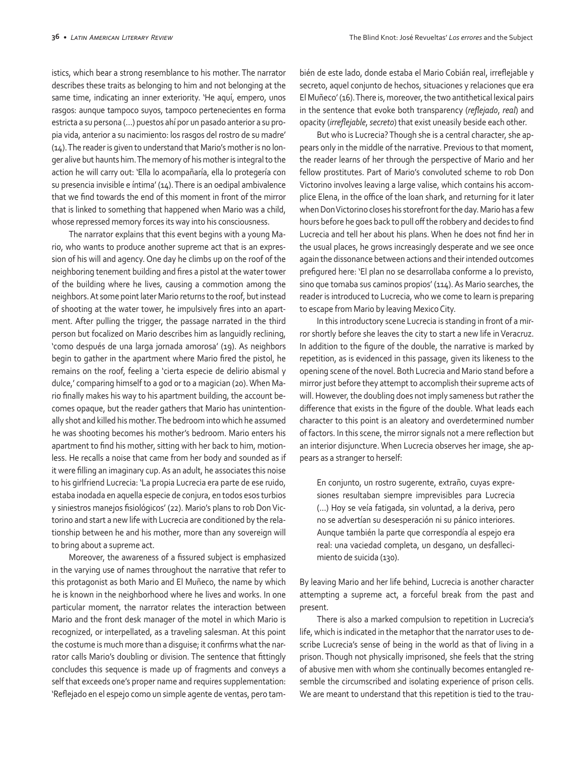istics, which bear a strong resemblance to his mother. The narrator describes these traits as belonging to him and not belonging at the same time, indicating an inner exteriority. 'He aquí, empero, unos rasgos: aunque tampoco suyos, tampoco pertenecientes en forma estricta a su persona (…) puestos ahí por un pasado anterior a su propia vida, anterior a su nacimiento: los rasgos del rostro de su madre' (14). The reader is given to understand that Mario's mother is no longer alive but haunts him. The memory of his mother is integral to the action he will carry out: 'Ella lo acompañaría, ella lo protegería con su presencia invisible e íntima' (14). There is an oedipal ambivalence that we find towards the end of this moment in front of the mirror that is linked to something that happened when Mario was a child, whose repressed memory forces its way into his consciousness.

The narrator explains that this event begins with a young Mario, who wants to produce another supreme act that is an expression of his will and agency. One day he climbs up on the roof of the neighboring tenement building and fires a pistol at the water tower of the building where he lives, causing a commotion among the neighbors. At some point later Mario returns to the roof, but instead of shooting at the water tower, he impulsively fires into an apartment. After pulling the trigger, the passage narrated in the third person but focalized on Mario describes him as languidly reclining, 'como después de una larga jornada amorosa' (19). As neighbors begin to gather in the apartment where Mario fired the pistol, he remains on the roof, feeling a 'cierta especie de delirio abismal y dulce,' comparing himself to a god or to a magician (20). When Mario finally makes his way to his apartment building, the account becomes opaque, but the reader gathers that Mario has unintentionally shot and killed his mother. The bedroom into which he assumed he was shooting becomes his mother's bedroom. Mario enters his apartment to find his mother, sitting with her back to him, motionless. He recalls a noise that came from her body and sounded as if it were filling an imaginary cup. As an adult, he associates this noise to his girlfriend Lucrecia: 'La propia Lucrecia era parte de ese ruido, estaba inodada en aquella especie de conjura, en todos esos turbios y siniestros manejos fisiológicos' (22). Mario's plans to rob Don Victorino and start a new life with Lucrecia are conditioned by the relationship between he and his mother, more than any sovereign will to bring about a supreme act.

Moreover, the awareness of a fissured subject is emphasized in the varying use of names throughout the narrative that refer to this protagonist as both Mario and El Muñeco, the name by which he is known in the neighborhood where he lives and works. In one particular moment, the narrator relates the interaction between Mario and the front desk manager of the motel in which Mario is recognized, or interpellated, as a traveling salesman. At this point the costume is much more than a disguise; it confirms what the narrator calls Mario's doubling or division. The sentence that fittingly concludes this sequence is made up of fragments and conveys a self that exceeds one's proper name and requires supplementation: 'Reflejado en el espejo como un simple agente de ventas, pero también de este lado, donde estaba el Mario Cobián real, irreflejable y secreto, aquel conjunto de hechos, situaciones y relaciones que era El Muñeco' (16). There is, moreover, the two antithetical lexical pairs in the sentence that evoke both transparency (*reflejado*, *real*) and opacity (*irreflejable*, *secreto*) that exist uneasily beside each other.

But who is Lucrecia? Though she is a central character, she appears only in the middle of the narrative. Previous to that moment, the reader learns of her through the perspective of Mario and her fellow prostitutes. Part of Mario's convoluted scheme to rob Don Victorino involves leaving a large valise, which contains his accomplice Elena, in the office of the loan shark, and returning for it later when Don Victorino closes his storefront for the day. Mario has a few hours before he goes back to pull off the robbery and decides to find Lucrecia and tell her about his plans. When he does not find her in the usual places, he grows increasingly desperate and we see once again the dissonance between actions and their intended outcomes prefigured here: 'El plan no se desarrollaba conforme a lo previsto, sino que tomaba sus caminos propios' (114). As Mario searches, the reader is introduced to Lucrecia, who we come to learn is preparing to escape from Mario by leaving Mexico City.

In this introductory scene Lucrecia is standing in front of a mirror shortly before she leaves the city to start a new life in Veracruz. In addition to the figure of the double, the narrative is marked by repetition, as is evidenced in this passage, given its likeness to the opening scene of the novel. Both Lucrecia and Mario stand before a mirror just before they attempt to accomplish their supreme acts of will. However, the doubling does not imply sameness but rather the difference that exists in the figure of the double. What leads each character to this point is an aleatory and overdetermined number of factors. In this scene, the mirror signals not a mere reflection but an interior disjuncture. When Lucrecia observes her image, she appears as a stranger to herself:

En conjunto, un rostro sugerente, extraño, cuyas expresiones resultaban siempre imprevisibles para Lucrecia (…) Hoy se veía fatigada, sin voluntad, a la deriva, pero no se advertían su desesperación ni su pánico interiores. Aunque también la parte que correspondía al espejo era real: una vaciedad completa, un desgano, un desfallecimiento de suicida (130).

By leaving Mario and her life behind, Lucrecia is another character attempting a supreme act, a forceful break from the past and present.

There is also a marked compulsion to repetition in Lucrecia's life, which is indicated in the metaphor that the narrator uses to describe Lucrecia's sense of being in the world as that of living in a prison. Though not physically imprisoned, she feels that the string of abusive men with whom she continually becomes entangled resemble the circumscribed and isolating experience of prison cells. We are meant to understand that this repetition is tied to the trau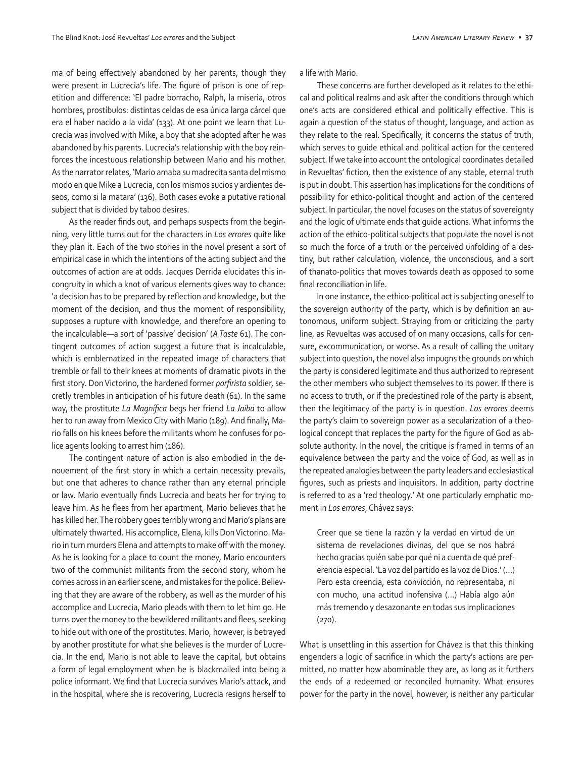ma of being effectively abandoned by her parents, though they were present in Lucrecia's life. The figure of prison is one of repetition and difference: 'El padre borracho, Ralph, la miseria, otros hombres, prostíbulos: distintas celdas de esa única larga cárcel que era el haber nacido a la vida' (133). At one point we learn that Lucrecia was involved with Mike, a boy that she adopted after he was abandoned by his parents. Lucrecia's relationship with the boy reinforces the incestuous relationship between Mario and his mother. As the narrator relates, 'Mario amaba su madrecita santa del mismo modo en que Mike a Lucrecia, con los mismos sucios y ardientes deseos, como si la matara' (136). Both cases evoke a putative rational subject that is divided by taboo desires.

As the reader finds out, and perhaps suspects from the beginning, very little turns out for the characters in *Los errores* quite like they plan it. Each of the two stories in the novel present a sort of empirical case in which the intentions of the acting subject and the outcomes of action are at odds. Jacques Derrida elucidates this incongruity in which a knot of various elements gives way to chance: 'a decision has to be prepared by reflection and knowledge, but the moment of the decision, and thus the moment of responsibility, supposes a rupture with knowledge, and therefore an opening to the incalculable—a sort of 'passive' decision' (*A Taste* 61). The contingent outcomes of action suggest a future that is incalculable, which is emblematized in the repeated image of characters that tremble or fall to their knees at moments of dramatic pivots in the first story. Don Victorino, the hardened former *porfirista* soldier, secretly trembles in anticipation of his future death (61). In the same way, the prostitute *La Magnífica* begs her friend *La Jaiba* to allow her to run away from Mexico City with Mario (189). And finally, Mario falls on his knees before the militants whom he confuses for police agents looking to arrest him (186).

The contingent nature of action is also embodied in the denouement of the first story in which a certain necessity prevails, but one that adheres to chance rather than any eternal principle or law. Mario eventually finds Lucrecia and beats her for trying to leave him. As he flees from her apartment, Mario believes that he has killed her. The robbery goes terribly wrong and Mario's plans are ultimately thwarted. His accomplice, Elena, kills Don Victorino. Mario in turn murders Elena and attempts to make off with the money. As he is looking for a place to count the money, Mario encounters two of the communist militants from the second story, whom he comes across in an earlier scene, and mistakes for the police. Believing that they are aware of the robbery, as well as the murder of his accomplice and Lucrecia, Mario pleads with them to let him go. He turns over the money to the bewildered militants and flees, seeking to hide out with one of the prostitutes. Mario, however, is betrayed by another prostitute for what she believes is the murder of Lucrecia. In the end, Mario is not able to leave the capital, but obtains a form of legal employment when he is blackmailed into being a police informant. We find that Lucrecia survives Mario's attack, and in the hospital, where she is recovering, Lucrecia resigns herself to a life with Mario.

These concerns are further developed as it relates to the ethical and political realms and ask after the conditions through which one's acts are considered ethical and politically effective. This is again a question of the status of thought, language, and action as they relate to the real. Specifically, it concerns the status of truth, which serves to guide ethical and political action for the centered subject. If we take into account the ontological coordinates detailed in Revueltas' fiction, then the existence of any stable, eternal truth is put in doubt. This assertion has implications for the conditions of possibility for ethico-political thought and action of the centered subject. In particular, the novel focuses on the status of sovereignty and the logic of ultimate ends that guide actions. What informs the action of the ethico-political subjects that populate the novel is not so much the force of a truth or the perceived unfolding of a destiny, but rather calculation, violence, the unconscious, and a sort of thanato-politics that moves towards death as opposed to some final reconciliation in life.

In one instance, the ethico-political act is subjecting oneself to the sovereign authority of the party, which is by definition an autonomous, uniform subject. Straying from or criticizing the party line, as Revueltas was accused of on many occasions, calls for censure, excommunication, or worse. As a result of calling the unitary subject into question, the novel also impugns the grounds on which the party is considered legitimate and thus authorized to represent the other members who subject themselves to its power. If there is no access to truth, or if the predestined role of the party is absent, then the legitimacy of the party is in question. *Los errores* deems the party's claim to sovereign power as a secularization of a theological concept that replaces the party for the figure of God as absolute authority. In the novel, the critique is framed in terms of an equivalence between the party and the voice of God, as well as in the repeated analogies between the party leaders and ecclesiastical figures, such as priests and inquisitors. In addition, party doctrine is referred to as a 'red theology.' At one particularly emphatic moment in *Los errores*, Chávez says:

Creer que se tiene la razón y la verdad en virtud de un sistema de revelaciones divinas, del que se nos habrá hecho gracias quién sabe por qué ni a cuenta de qué preferencia especial. 'La voz del partido es la voz de Dios.' (…) Pero esta creencia, esta convicción, no representaba, ni con mucho, una actitud inofensiva (…) Había algo aún más tremendo y desazonante en todas sus implicaciones (270).

What is unsettling in this assertion for Chávez is that this thinking engenders a logic of sacrifice in which the party's actions are permitted, no matter how abominable they are, as long as it furthers the ends of a redeemed or reconciled humanity. What ensures power for the party in the novel, however, is neither any particular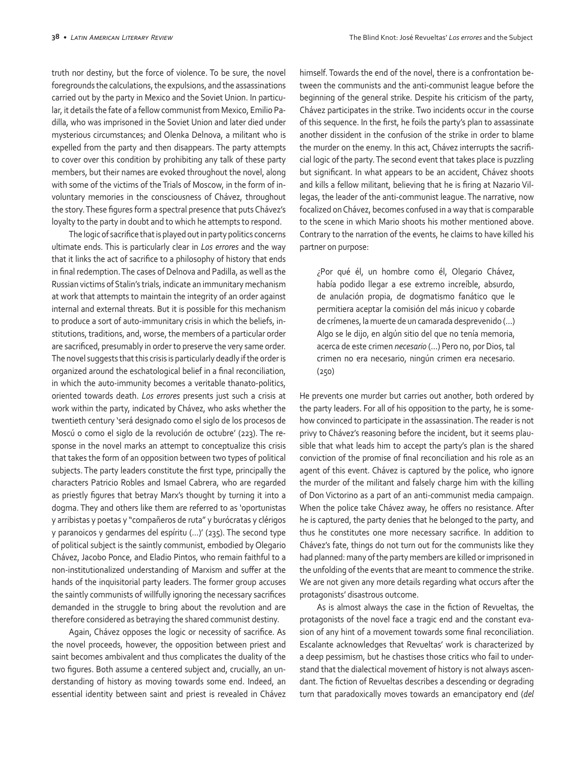truth nor destiny, but the force of violence. To be sure, the novel foregrounds the calculations, the expulsions, and the assassinations carried out by the party in Mexico and the Soviet Union. In particular, it details the fate of a fellow communist from Mexico, Emilio Padilla, who was imprisoned in the Soviet Union and later died under mysterious circumstances; and Olenka Delnova, a militant who is expelled from the party and then disappears. The party attempts to cover over this condition by prohibiting any talk of these party members, but their names are evoked throughout the novel, along with some of the victims of the Trials of Moscow, in the form of involuntary memories in the consciousness of Chávez, throughout the story. These figures form a spectral presence that puts Chávez's loyalty to the party in doubt and to which he attempts to respond.

The logic of sacrifice that is played out in party politics concerns ultimate ends. This is particularly clear in *Los errores* and the way that it links the act of sacrifice to a philosophy of history that ends in final redemption. The cases of Delnova and Padilla, as well as the Russian victims of Stalin's trials, indicate an immunitary mechanism at work that attempts to maintain the integrity of an order against internal and external threats. But it is possible for this mechanism to produce a sort of auto-immunitary crisis in which the beliefs, institutions, traditions, and, worse, the members of a particular order are sacrificed, presumably in order to preserve the very same order. The novel suggests that this crisis is particularly deadly if the order is organized around the eschatological belief in a final reconciliation, in which the auto-immunity becomes a veritable thanato-politics, oriented towards death. *Los errores* presents just such a crisis at work within the party, indicated by Chávez, who asks whether the twentieth century 'será designado como el siglo de los procesos de Moscú o como el siglo de la revolución de octubre' (223). The response in the novel marks an attempt to conceptualize this crisis that takes the form of an opposition between two types of political subjects. The party leaders constitute the first type, principally the characters Patricio Robles and Ismael Cabrera, who are regarded as priestly figures that betray Marx's thought by turning it into a dogma. They and others like them are referred to as 'oportunistas y arribistas y poetas y "compañeros de ruta" y burócratas y clérigos y paranoicos y gendarmes del espíritu (…)' (235). The second type of political subject is the saintly communist, embodied by Olegario Chávez, Jacobo Ponce, and Eladio Pintos, who remain faithful to a non-institutionalized understanding of Marxism and suffer at the hands of the inquisitorial party leaders. The former group accuses the saintly communists of willfully ignoring the necessary sacrifices demanded in the struggle to bring about the revolution and are therefore considered as betraying the shared communist destiny.

Again, Chávez opposes the logic or necessity of sacrifice. As the novel proceeds, however, the opposition between priest and saint becomes ambivalent and thus complicates the duality of the two figures. Both assume a centered subject and, crucially, an understanding of history as moving towards some end. Indeed, an essential identity between saint and priest is revealed in Chávez himself. Towards the end of the novel, there is a confrontation between the communists and the anti-communist league before the beginning of the general strike. Despite his criticism of the party, Chávez participates in the strike. Two incidents occur in the course of this sequence. In the first, he foils the party's plan to assassinate another dissident in the confusion of the strike in order to blame the murder on the enemy. In this act, Chávez interrupts the sacrificial logic of the party. The second event that takes place is puzzling but significant. In what appears to be an accident, Chávez shoots and kills a fellow militant, believing that he is firing at Nazario Villegas, the leader of the anti-communist league. The narrative, now focalized on Chávez, becomes confused in a way that is comparable to the scene in which Mario shoots his mother mentioned above. Contrary to the narration of the events, he claims to have killed his partner on purpose:

¿Por qué él, un hombre como él, Olegario Chávez, había podido llegar a ese extremo increíble, absurdo, de anulación propia, de dogmatismo fanático que le permitiera aceptar la comisión del más inicuo y cobarde de crímenes, la muerte de un camarada desprevenido (…) Algo se le dijo, en algún sitio del que no tenía memoria, acerca de este crimen *necesario* (…) Pero no, por Dios, tal crimen no era necesario, ningún crimen era necesario. (250)

He prevents one murder but carries out another, both ordered by the party leaders. For all of his opposition to the party, he is somehow convinced to participate in the assassination. The reader is not privy to Chávez's reasoning before the incident, but it seems plausible that what leads him to accept the party's plan is the shared conviction of the promise of final reconciliation and his role as an agent of this event. Chávez is captured by the police, who ignore the murder of the militant and falsely charge him with the killing of Don Victorino as a part of an anti-communist media campaign. When the police take Chávez away, he offers no resistance. After he is captured, the party denies that he belonged to the party, and thus he constitutes one more necessary sacrifice. In addition to Chávez's fate, things do not turn out for the communists like they had planned: many of the party members are killed or imprisoned in the unfolding of the events that are meant to commence the strike. We are not given any more details regarding what occurs after the protagonists' disastrous outcome.

As is almost always the case in the fiction of Revueltas, the protagonists of the novel face a tragic end and the constant evasion of any hint of a movement towards some final reconciliation. Escalante acknowledges that Revueltas' work is characterized by a deep pessimism, but he chastises those critics who fail to understand that the dialectical movement of history is not always ascendant. The fiction of Revueltas describes a descending or degrading turn that paradoxically moves towards an emancipatory end (*del*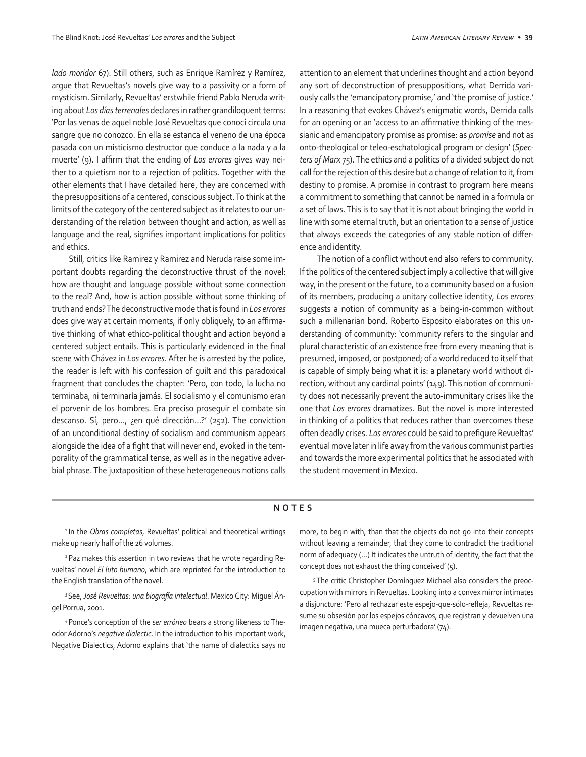*lado moridor* 67). Still others, such as Enrique Ramírez y Ramírez, argue that Revueltas's novels give way to a passivity or a form of mysticism. Similarly, Revueltas' erstwhile friend Pablo Neruda writing about *Los días terrenales* declares in rather grandiloquent terms: 'Por las venas de aquel noble José Revueltas que conocí circula una sangre que no conozco. En ella se estanca el veneno de una época pasada con un misticismo destructor que conduce a la nada y a la muerte' (9). I affirm that the ending of *Los errores* gives way neither to a quietism nor to a rejection of politics. Together with the other elements that I have detailed here, they are concerned with the presuppositions of a centered, conscious subject. To think at the limits of the category of the centered subject as it relates to our understanding of the relation between thought and action, as well as language and the real, signifies important implications for politics and ethics.

Still, critics like Ramirez y Ramirez and Neruda raise some important doubts regarding the deconstructive thrust of the novel: how are thought and language possible without some connection to the real? And, how is action possible without some thinking of truth and ends? The deconstructive mode that is found in *Los errores* does give way at certain moments, if only obliquely, to an affirmative thinking of what ethico-political thought and action beyond a centered subject entails. This is particularly evidenced in the final scene with Chávez in *Los errores.* After he is arrested by the police, the reader is left with his confession of guilt and this paradoxical fragment that concludes the chapter: 'Pero, con todo, la lucha no terminaba, ni terminaría jamás. El socialismo y el comunismo eran el porvenir de los hombres. Era preciso proseguir el combate sin descanso. Sí, pero…, ¿en qué dirección…?' (252). The conviction of an unconditional destiny of socialism and communism appears alongside the idea of a fight that will never end, evoked in the temporality of the grammatical tense, as well as in the negative adverbial phrase. The juxtaposition of these heterogeneous notions calls

attention to an element that underlines thought and action beyond any sort of deconstruction of presuppositions, what Derrida variously calls the 'emancipatory promise,' and 'the promise of justice.' In a reasoning that evokes Chávez's enigmatic words, Derrida calls for an opening or an 'access to an affirmative thinking of the messianic and emancipatory promise as promise: as *promise* and not as onto-theological or teleo-eschatological program or design' (*Specters of Marx* 75). The ethics and a politics of a divided subject do not call for the rejection of this desire but a change of relation to it, from destiny to promise. A promise in contrast to program here means a commitment to something that cannot be named in a formula or a set of laws. This is to say that it is not about bringing the world in line with some eternal truth, but an orientation to a sense of justice that always exceeds the categories of any stable notion of difference and identity.

The notion of a conflict without end also refers to community. If the politics of the centered subject imply a collective that will give way, in the present or the future, to a community based on a fusion of its members, producing a unitary collective identity, *Los errores* suggests a notion of community as a being-in-common without such a millenarian bond. Roberto Esposito elaborates on this understanding of community: 'community refers to the singular and plural characteristic of an existence free from every meaning that is presumed, imposed, or postponed; of a world reduced to itself that is capable of simply being what it is: a planetary world without direction, without any cardinal points' (149). This notion of community does not necessarily prevent the auto-immunitary crises like the one that *Los errores* dramatizes. But the novel is more interested in thinking of a politics that reduces rather than overcomes these often deadly crises. *Los errores* could be said to prefigure Revueltas' eventual move later in life away from the various communist parties and towards the more experimental politics that he associated with the student movement in Mexico.

## **NOTES**

<sup>1</sup> In the *Obras completas*, Revueltas' political and theoretical writings make up nearly half of the 26 volumes.

<sup>2</sup> Paz makes this assertion in two reviews that he wrote regarding Revueltas' novel *El luto humano*, which are reprinted for the introduction to the English translation of the novel.

3 See, *José Revueltas: una biografía intelectual*. Mexico City: Miguel Ángel Porrua, 2001.

4 Ponce's conception of the s*er erróneo* bears a strong likeness to Theodor Adorno's *negative dialectic*. In the introduction to his important work, Negative Dialectics, Adorno explains that 'the name of dialectics says no more, to begin with, than that the objects do not go into their concepts without leaving a remainder, that they come to contradict the traditional norm of adequacy (…) It indicates the untruth of identity, the fact that the concept does not exhaust the thing conceived' (5).

5 The critic Christopher Domínguez Michael also considers the preoccupation with mirrors in Revueltas. Looking into a convex mirror intimates a disjuncture: 'Pero al rechazar este espejo-que-sólo-refleja, Revueltas resume su obsesión por los espejos cóncavos, que registran y devuelven una imagen negativa, una mueca perturbadora' (74).